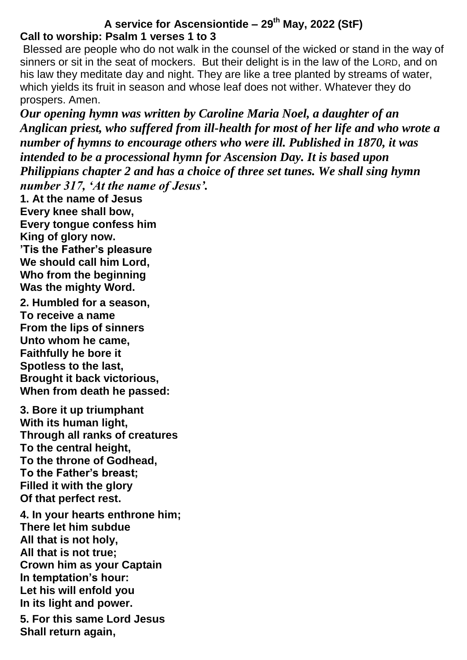### **A service for Ascensiontide – 29th May, 2022 (StF) Call to worship: Psalm 1 verses 1 to 3**

Blessed are people who do not walk in the counsel of the wicked or stand in the way of sinners or sit in the seat of mockers. But their delight is in the law of the LORD, and on his law they meditate day and night. They are like a tree planted by streams of water, which yields its fruit in season and whose leaf does not wither. Whatever they do prospers. Amen.

*Our opening hymn was written by Caroline Maria Noel, a daughter of an Anglican priest, who suffered from ill-health for most of her life and who wrote a number of hymns to encourage others who were ill. Published in 1870, it was intended to be a processional hymn for Ascension Day. It is based upon Philippians chapter 2 and has a choice of three set tunes. We shall sing hymn number 317, 'At the name of Jesus'.*

**1. At the name of Jesus Every knee shall bow, Every tongue confess him King of glory now. 'Tis the Father's pleasure We should call him Lord, Who from the beginning Was the mighty Word.**

**2. Humbled for a season, To receive a name From the lips of sinners Unto whom he came, Faithfully he bore it Spotless to the last, Brought it back victorious, When from death he passed:**

**3. Bore it up triumphant With its human light, Through all ranks of creatures To the central height, To the throne of Godhead, To the Father's breast; Filled it with the glory Of that perfect rest.**

**4. In your hearts enthrone him; There let him subdue All that is not holy, All that is not true; Crown him as your Captain In temptation's hour: Let his will enfold you In its light and power. 5. For this same Lord Jesus Shall return again,**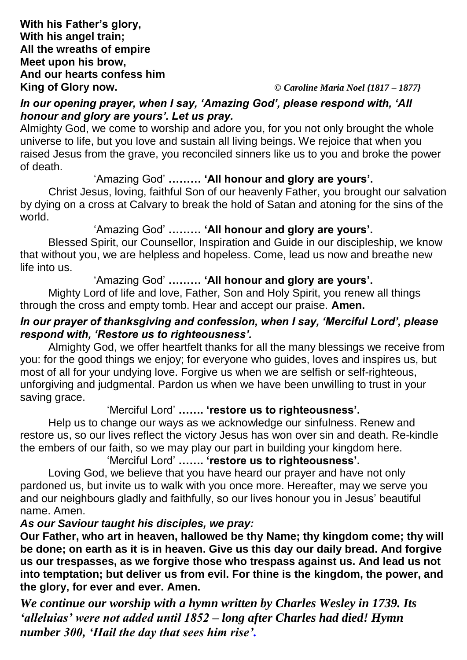**King of Glory now.** *© Caroline Maria Noel {1817 – 1877}*

### *In our opening prayer, when I say, 'Amazing God', please respond with, 'All honour and glory are yours'. Let us pray.*

Almighty God, we come to worship and adore you, for you not only brought the whole universe to life, but you love and sustain all living beings. We rejoice that when you raised Jesus from the grave, you reconciled sinners like us to you and broke the power of death.

### 'Amazing God' **……… 'All honour and glory are yours'.**

Christ Jesus, loving, faithful Son of our heavenly Father, you brought our salvation by dying on a cross at Calvary to break the hold of Satan and atoning for the sins of the world.

## 'Amazing God' **……… 'All honour and glory are yours'.**

Blessed Spirit, our Counsellor, Inspiration and Guide in our discipleship, we know that without you, we are helpless and hopeless. Come, lead us now and breathe new life into us.

## 'Amazing God' **……… 'All honour and glory are yours'.**

Mighty Lord of life and love, Father, Son and Holy Spirit, you renew all things through the cross and empty tomb. Hear and accept our praise. **Amen.**

## *In our prayer of thanksgiving and confession, when I say, 'Merciful Lord', please respond with, 'Restore us to righteousness'.*

Almighty God, we offer heartfelt thanks for all the many blessings we receive from you: for the good things we enjoy; for everyone who guides, loves and inspires us, but most of all for your undying love. Forgive us when we are selfish or self-righteous, unforgiving and judgmental. Pardon us when we have been unwilling to trust in your saving grace.

## 'Merciful Lord' **……. 'restore us to righteousness'.**

Help us to change our ways as we acknowledge our sinfulness. Renew and restore us, so our lives reflect the victory Jesus has won over sin and death. Re-kindle the embers of our faith, so we may play our part in building your kingdom here.

# 'Merciful Lord' **……. 'restore us to righteousness'.**

Loving God, we believe that you have heard our prayer and have not only pardoned us, but invite us to walk with you once more. Hereafter, may we serve you and our neighbours gladly and faithfully, so our lives honour you in Jesus' beautiful name. Amen.

#### *As our Saviour taught his disciples, we pray:*

**Our Father, who art in heaven, hallowed be thy Name; thy kingdom come; thy will be done; on earth as it is in heaven. Give us this day our daily bread. And forgive us our trespasses, as we forgive those who trespass against us. And lead us not into temptation; but deliver us from evil. For thine is the kingdom, the power, and the glory, for ever and ever. Amen.**

*We continue our worship with a hymn written by Charles Wesley in 1739. Its 'alleluias' were not added until 1852 – long after Charles had died! Hymn number 300, 'Hail the day that sees him rise'.*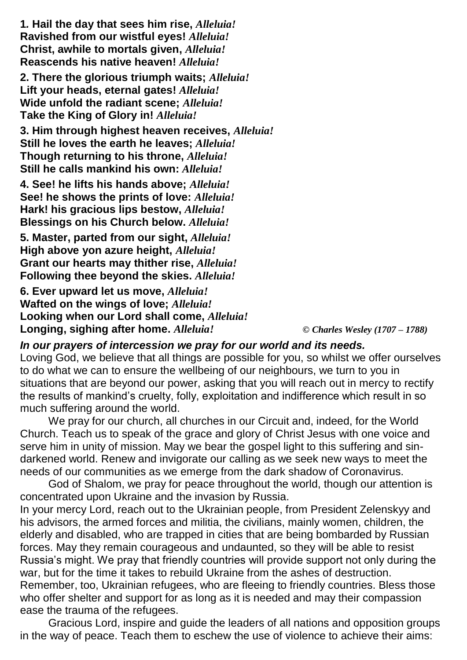**1***.* **Hail the day that sees him rise,** *Alleluia!* **Ravished from our wistful eyes!** *Alleluia!* **Christ, awhile to mortals given,** *Alleluia!* **Reascends his native heaven!** *Alleluia!*

**2. There the glorious triumph waits;** *Alleluia!* **Lift your heads, eternal gates!** *Alleluia!* **Wide unfold the radiant scene;** *Alleluia!* **Take the King of Glory in!** *Alleluia!*

**3. Him through highest heaven receives,** *Alleluia!* **Still he loves the earth he leaves;** *Alleluia!* **Though returning to his throne,** *Alleluia!* **Still he calls mankind his own:** *Alleluia!*

**4. See! he lifts his hands above;** *Alleluia!* **See! he shows the prints of love:** *Alleluia!* **Hark! his gracious lips bestow,** *Alleluia!* **Blessings on his Church below.** *Alleluia!*

**5. Master, parted from our sight,** *Alleluia!* **High above yon azure height,** *Alleluia!* **Grant our hearts may thither rise,** *Alleluia!* **Following thee beyond the skies.** *Alleluia!*

**6. Ever upward let us move,** *Alleluia!* **Wafted on the wings of love;** *Alleluia!* **Looking when our Lord shall come,** *Alleluia!* **Longing, sighing after home.** *Alleluia! © Charles Wesley (1707 – 1788)*

*In our prayers of intercession we pray for our world and its needs.* 

Loving God, we believe that all things are possible for you, so whilst we offer ourselves to do what we can to ensure the wellbeing of our neighbours, we turn to you in situations that are beyond our power, asking that you will reach out in mercy to rectify the results of mankind's cruelty, folly, exploitation and indifference which result in so much suffering around the world.

We pray for our church, all churches in our Circuit and, indeed, for the World Church. Teach us to speak of the grace and glory of Christ Jesus with one voice and serve him in unity of mission. May we bear the gospel light to this suffering and sindarkened world. Renew and invigorate our calling as we seek new ways to meet the needs of our communities as we emerge from the dark shadow of Coronavirus.

God of Shalom, we pray for peace throughout the world, though our attention is concentrated upon Ukraine and the invasion by Russia.

In your mercy Lord, reach out to the Ukrainian people, from President Zelenskyy and his advisors, the armed forces and militia, the civilians, mainly women, children, the elderly and disabled, who are trapped in cities that are being bombarded by Russian forces. May they remain courageous and undaunted, so they will be able to resist Russia's might. We pray that friendly countries will provide support not only during the war, but for the time it takes to rebuild Ukraine from the ashes of destruction. Remember, too, Ukrainian refugees, who are fleeing to friendly countries. Bless those who offer shelter and support for as long as it is needed and may their compassion ease the trauma of the refugees.

Gracious Lord, inspire and guide the leaders of all nations and opposition groups in the way of peace. Teach them to eschew the use of violence to achieve their aims: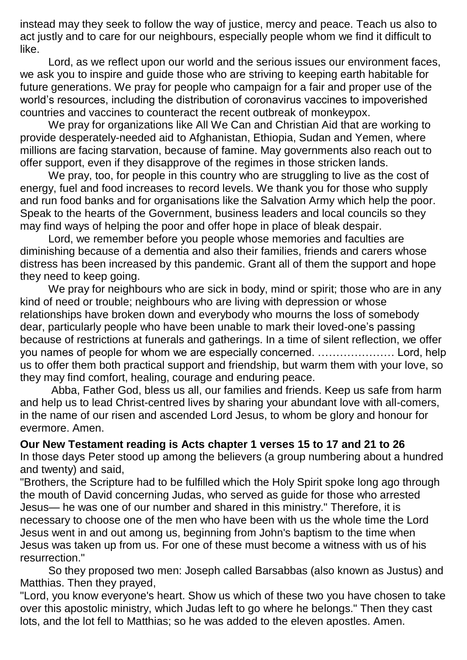instead may they seek to follow the way of justice, mercy and peace. Teach us also to act justly and to care for our neighbours, especially people whom we find it difficult to like.

Lord, as we reflect upon our world and the serious issues our environment faces, we ask you to inspire and guide those who are striving to keeping earth habitable for future generations. We pray for people who campaign for a fair and proper use of the world's resources, including the distribution of coronavirus vaccines to impoverished countries and vaccines to counteract the recent outbreak of monkeypox.

We pray for organizations like All We Can and Christian Aid that are working to provide desperately-needed aid to Afghanistan, Ethiopia, Sudan and Yemen, where millions are facing starvation, because of famine. May governments also reach out to offer support, even if they disapprove of the regimes in those stricken lands.

We pray, too, for people in this country who are struggling to live as the cost of energy, fuel and food increases to record levels. We thank you for those who supply and run food banks and for organisations like the Salvation Army which help the poor. Speak to the hearts of the Government, business leaders and local councils so they may find ways of helping the poor and offer hope in place of bleak despair.

Lord, we remember before you people whose memories and faculties are diminishing because of a dementia and also their families, friends and carers whose distress has been increased by this pandemic. Grant all of them the support and hope they need to keep going.

We pray for neighbours who are sick in body, mind or spirit; those who are in any kind of need or trouble; neighbours who are living with depression or whose relationships have broken down and everybody who mourns the loss of somebody dear, particularly people who have been unable to mark their loved-one's passing because of restrictions at funerals and gatherings. In a time of silent reflection, we offer you names of people for whom we are especially concerned. ………………… Lord, help us to offer them both practical support and friendship, but warm them with your love, so they may find comfort, healing, courage and enduring peace.

Abba, Father God, bless us all, our families and friends. Keep us safe from harm and help us to lead Christ-centred lives by sharing your abundant love with all-comers, in the name of our risen and ascended Lord Jesus, to whom be glory and honour for evermore. Amen.

### **Our New Testament reading is Acts chapter 1 verses 15 to 17 and 21 to 26**

In those days Peter stood up among the believers (a group numbering about a hundred and twenty) and said,

"Brothers, the Scripture had to be fulfilled which the Holy Spirit spoke long ago through the mouth of David concerning Judas, who served as guide for those who arrested Jesus— he was one of our number and shared in this ministry." Therefore, it is necessary to choose one of the men who have been with us the whole time the Lord Jesus went in and out among us, beginning from John's baptism to the time when Jesus was taken up from us. For one of these must become a witness with us of his resurrection."

So they proposed two men: Joseph called Barsabbas (also known as Justus) and Matthias. Then they prayed,

"Lord, you know everyone's heart. Show us which of these two you have chosen to take over this apostolic ministry, which Judas left to go where he belongs." Then they cast lots, and the lot fell to Matthias; so he was added to the eleven apostles. Amen.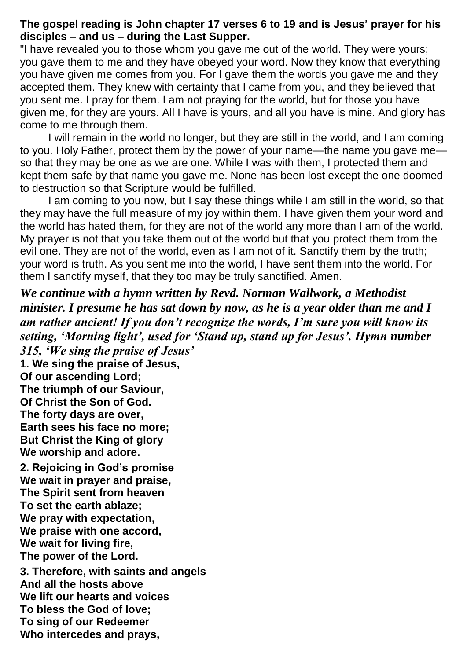### **The gospel reading is John chapter 17 verses 6 to 19 and is Jesus' prayer for his disciples – and us – during the Last Supper.**

"I have revealed you to those whom you gave me out of the world. They were yours; you gave them to me and they have obeyed your word. Now they know that everything you have given me comes from you. For I gave them the words you gave me and they accepted them. They knew with certainty that I came from you, and they believed that you sent me. I pray for them. I am not praying for the world, but for those you have given me, for they are yours. All I have is yours, and all you have is mine. And glory has come to me through them.

I will remain in the world no longer, but they are still in the world, and I am coming to you. Holy Father, protect them by the power of your name—the name you gave me so that they may be one as we are one. While I was with them, I protected them and kept them safe by that name you gave me. None has been lost except the one doomed to destruction so that Scripture would be fulfilled.

I am coming to you now, but I say these things while I am still in the world, so that they may have the full measure of my joy within them. I have given them your word and the world has hated them, for they are not of the world any more than I am of the world. My prayer is not that you take them out of the world but that you protect them from the evil one. They are not of the world, even as I am not of it. Sanctify them by the truth; your word is truth. As you sent me into the world, I have sent them into the world. For them I sanctify myself, that they too may be truly sanctified. Amen.

*We continue with a hymn written by Revd. Norman Wallwork, a Methodist minister. I presume he has sat down by now, as he is a year older than me and I am rather ancient! If you don't recognize the words, I'm sure you will know its setting, 'Morning light', used for 'Stand up, stand up for Jesus'. Hymn number 315, 'We sing the praise of Jesus'*  **1. We sing the praise of Jesus, Of our ascending Lord; The triumph of our Saviour, Of Christ the Son of God. The forty days are over, Earth sees his face no more; But Christ the King of glory We worship and adore. 2. Rejoicing in God's promise We wait in prayer and praise, The Spirit sent from heaven To set the earth ablaze; We pray with expectation, We praise with one accord, We wait for living fire, The power of the Lord. 3. Therefore, with saints and angels**

**And all the hosts above We lift our hearts and voices To bless the God of love; To sing of our Redeemer Who intercedes and prays,**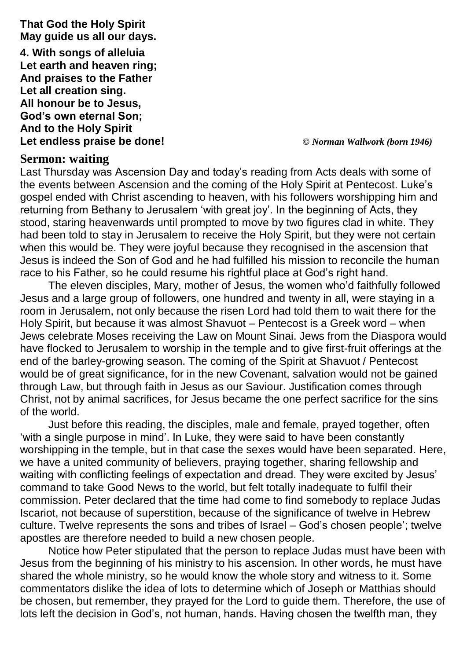**That God the Holy Spirit May guide us all our days. 4. With songs of alleluia Let earth and heaven ring; And praises to the Father Let all creation sing. All honour be to Jesus, God's own eternal Son; And to the Holy Spirit Let endless praise be done!** *© Norman Wallwork (born 1946)*

# **Sermon: waiting**

Last Thursday was Ascension Day and today's reading from Acts deals with some of the events between Ascension and the coming of the Holy Spirit at Pentecost. Luke's gospel ended with Christ ascending to heaven, with his followers worshipping him and returning from Bethany to Jerusalem 'with great joy'. In the beginning of Acts, they stood, staring heavenwards until prompted to move by two figures clad in white. They had been told to stay in Jerusalem to receive the Holy Spirit, but they were not certain when this would be. They were joyful because they recognised in the ascension that Jesus is indeed the Son of God and he had fulfilled his mission to reconcile the human race to his Father, so he could resume his rightful place at God's right hand.

The eleven disciples, Mary, mother of Jesus, the women who'd faithfully followed Jesus and a large group of followers, one hundred and twenty in all, were staying in a room in Jerusalem, not only because the risen Lord had told them to wait there for the Holy Spirit, but because it was almost Shavuot – Pentecost is a Greek word – when Jews celebrate Moses receiving the Law on Mount Sinai. Jews from the Diaspora would have flocked to Jerusalem to worship in the temple and to give first-fruit offerings at the end of the barley-growing season. The coming of the Spirit at Shavuot / Pentecost would be of great significance, for in the new Covenant, salvation would not be gained through Law, but through faith in Jesus as our Saviour. Justification comes through Christ, not by animal sacrifices, for Jesus became the one perfect sacrifice for the sins of the world.

Just before this reading, the disciples, male and female, prayed together, often 'with a single purpose in mind'. In Luke, they were said to have been constantly worshipping in the temple, but in that case the sexes would have been separated. Here, we have a united community of believers, praying together, sharing fellowship and waiting with conflicting feelings of expectation and dread. They were excited by Jesus' command to take Good News to the world, but felt totally inadequate to fulfil their commission. Peter declared that the time had come to find somebody to replace Judas Iscariot, not because of superstition, because of the significance of twelve in Hebrew culture. Twelve represents the sons and tribes of Israel – God's chosen people'; twelve apostles are therefore needed to build a new chosen people.

Notice how Peter stipulated that the person to replace Judas must have been with Jesus from the beginning of his ministry to his ascension. In other words, he must have shared the whole ministry, so he would know the whole story and witness to it. Some commentators dislike the idea of lots to determine which of Joseph or Matthias should be chosen, but remember, they prayed for the Lord to guide them. Therefore, the use of lots left the decision in God's, not human, hands. Having chosen the twelfth man, they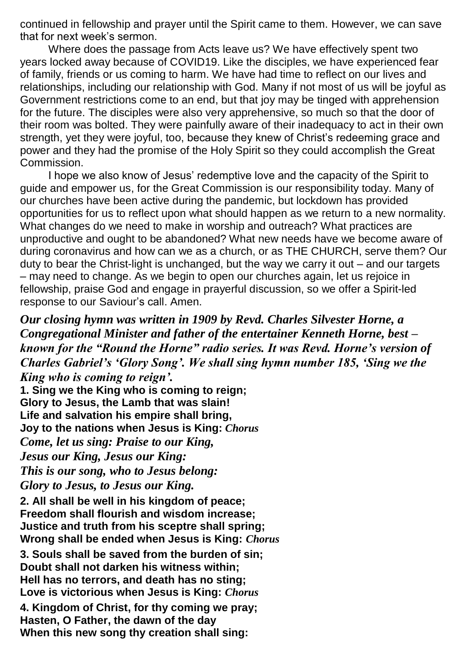continued in fellowship and prayer until the Spirit came to them. However, we can save that for next week's sermon.

Where does the passage from Acts leave us? We have effectively spent two years locked away because of COVID19. Like the disciples, we have experienced fear of family, friends or us coming to harm. We have had time to reflect on our lives and relationships, including our relationship with God. Many if not most of us will be joyful as Government restrictions come to an end, but that joy may be tinged with apprehension for the future. The disciples were also very apprehensive, so much so that the door of their room was bolted. They were painfully aware of their inadequacy to act in their own strength, yet they were joyful, too, because they knew of Christ's redeeming grace and power and they had the promise of the Holy Spirit so they could accomplish the Great Commission.

I hope we also know of Jesus' redemptive love and the capacity of the Spirit to guide and empower us, for the Great Commission is our responsibility today. Many of our churches have been active during the pandemic, but lockdown has provided opportunities for us to reflect upon what should happen as we return to a new normality. What changes do we need to make in worship and outreach? What practices are unproductive and ought to be abandoned? What new needs have we become aware of during coronavirus and how can we as a church, or as THE CHURCH, serve them? Our duty to bear the Christ-light is unchanged, but the way we carry it out – and our targets – may need to change. As we begin to open our churches again, let us rejoice in fellowship, praise God and engage in prayerful discussion, so we offer a Spirit-led response to our Saviour's call. Amen.

*Our closing hymn was written in 1909 by Revd. Charles Silvester Horne, a Congregational Minister and father of the entertainer Kenneth Horne, best – known for the "Round the Horne" radio series. It was Revd. Horne's version of Charles Gabriel's 'Glory Song'. We shall sing hymn number 185, 'Sing we the King who is coming to reign'.*

**1. Sing we the King who is coming to reign; Glory to Jesus, the Lamb that was slain! Life and salvation his empire shall bring, Joy to the nations when Jesus is King:** *Chorus Come, let us sing: Praise to our King, Jesus our King, Jesus our King: This is our song, who to Jesus belong: Glory to Jesus, to Jesus our King.*

**2. All shall be well in his kingdom of peace; Freedom shall flourish and wisdom increase; Justice and truth from his sceptre shall spring; Wrong shall be ended when Jesus is King:** *Chorus*

**3. Souls shall be saved from the burden of sin; Doubt shall not darken his witness within; Hell has no terrors, and death has no sting; Love is victorious when Jesus is King:** *Chorus*

**4. Kingdom of Christ, for thy coming we pray; Hasten, O Father, the dawn of the day When this new song thy creation shall sing:**